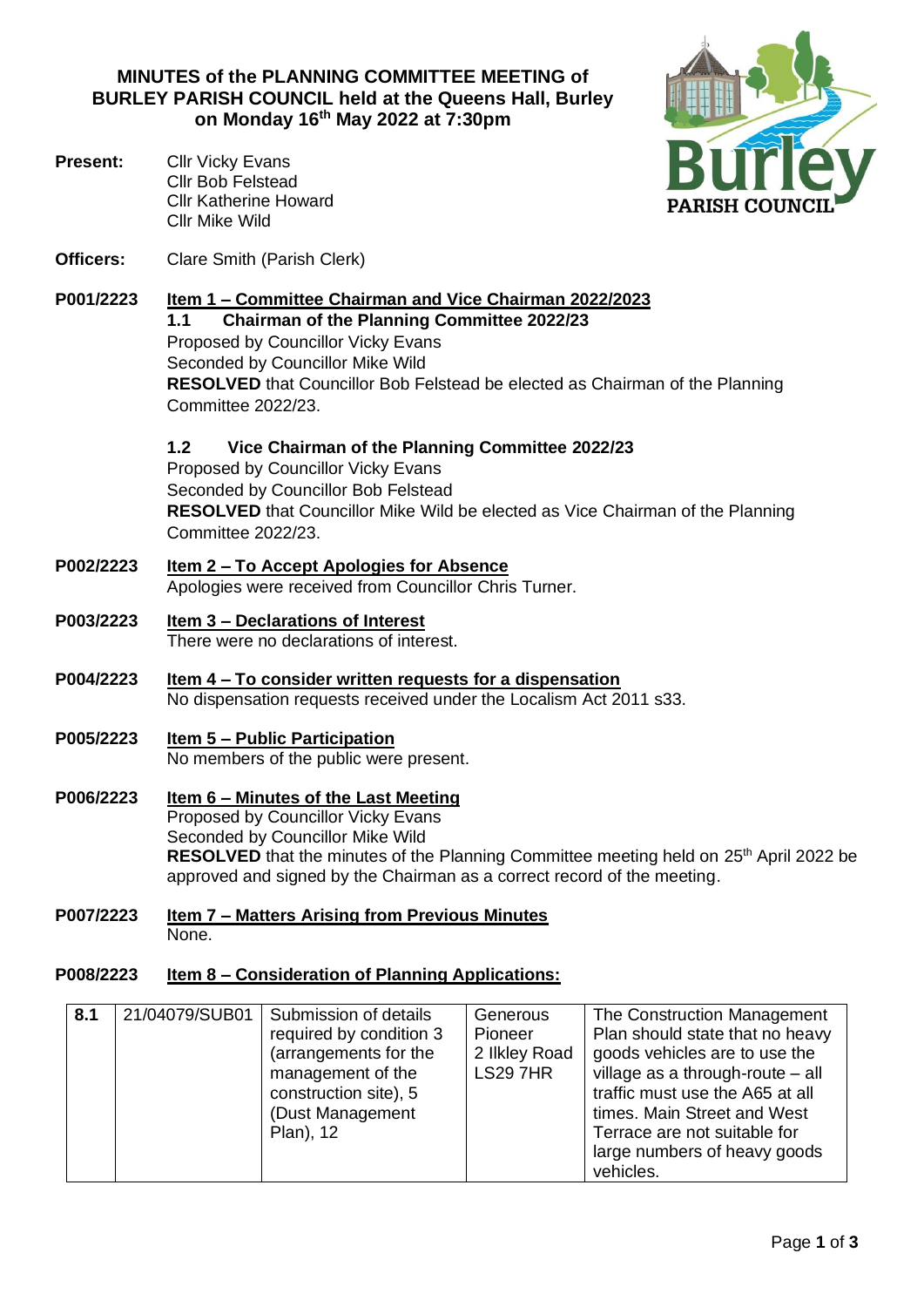**MINUTES of the PLANNING COMMITTEE MEETING of BURLEY PARISH COUNCIL held at the Queens Hall, Burley on Monday 16th May 2022 at 7:30pm**

**Officers:** Clare Smith (Parish Clerk)

Cllr Mike Wild

Cllr Bob Felstead Cllr Katherine Howard

**Present:** Cllr Vicky Evans

- **P001/2223 Item 1 – Committee Chairman and Vice Chairman 2022/2023 1.1 Chairman of the Planning Committee 2022/23** Proposed by Councillor Vicky Evans Seconded by Councillor Mike Wild **RESOLVED** that Councillor Bob Felstead be elected as Chairman of the Planning Committee 2022/23.
	- **1.2 Vice Chairman of the Planning Committee 2022/23**

Proposed by Councillor Vicky Evans Seconded by Councillor Bob Felstead **RESOLVED** that Councillor Mike Wild be elected as Vice Chairman of the Planning Committee 2022/23.

- **P002/2223 Item 2 – To Accept Apologies for Absence**  Apologies were received from Councillor Chris Turner.
- **P003/2223 Item 3 – Declarations of Interest** There were no declarations of interest.
- **P004/2223 Item 4 – To consider written requests for a dispensation** No dispensation requests received under the Localism Act 2011 s33.
- **P005/2223 Item 5 – Public Participation** No members of the public were present.
- **P006/2223 Item 6 – Minutes of the Last Meeting** Proposed by Councillor Vicky Evans Seconded by Councillor Mike Wild **RESOLVED** that the minutes of the Planning Committee meeting held on 25<sup>th</sup> April 2022 be approved and signed by the Chairman as a correct record of the meeting.
- **P007/2223 Item 7 – Matters Arising from Previous Minutes** None.

## **P008/2223 Item 8 – Consideration of Planning Applications:**

| 8.1 | 21/04079/SUB01 | Submission of details<br>required by condition 3<br>(arrangements for the<br>management of the<br>construction site), 5<br>(Dust Management<br>Plan), 12 | Generous<br>Pioneer<br>2 Ilkley Road<br><b>LS297HR</b> | The Construction Management<br>Plan should state that no heavy<br>goods vehicles are to use the<br>village as a through-route $-$ all<br>traffic must use the A65 at all<br>times. Main Street and West<br>Terrace are not suitable for<br>large numbers of heavy goods<br>vehicles. |
|-----|----------------|----------------------------------------------------------------------------------------------------------------------------------------------------------|--------------------------------------------------------|--------------------------------------------------------------------------------------------------------------------------------------------------------------------------------------------------------------------------------------------------------------------------------------|
|-----|----------------|----------------------------------------------------------------------------------------------------------------------------------------------------------|--------------------------------------------------------|--------------------------------------------------------------------------------------------------------------------------------------------------------------------------------------------------------------------------------------------------------------------------------------|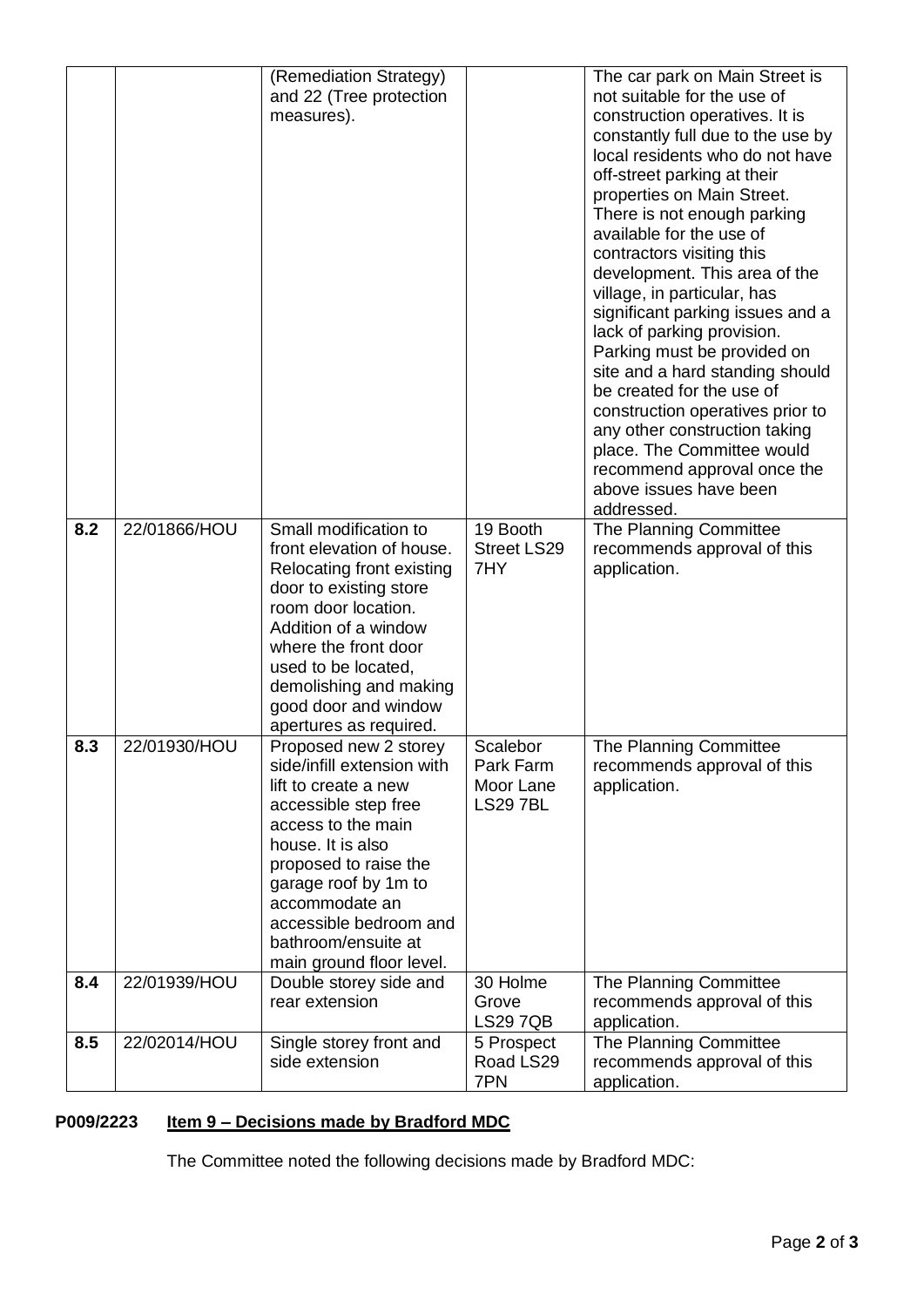|     |              | (Remediation Strategy)<br>and 22 (Tree protection<br>measures).                                                                                                                                                                                                                                                          |                                                      | The car park on Main Street is<br>not suitable for the use of<br>construction operatives. It is<br>constantly full due to the use by<br>local residents who do not have<br>off-street parking at their<br>properties on Main Street.<br>There is not enough parking<br>available for the use of<br>contractors visiting this<br>development. This area of the<br>village, in particular, has<br>significant parking issues and a<br>lack of parking provision.<br>Parking must be provided on<br>site and a hard standing should<br>be created for the use of<br>construction operatives prior to<br>any other construction taking<br>place. The Committee would<br>recommend approval once the<br>above issues have been<br>addressed. |  |
|-----|--------------|--------------------------------------------------------------------------------------------------------------------------------------------------------------------------------------------------------------------------------------------------------------------------------------------------------------------------|------------------------------------------------------|-----------------------------------------------------------------------------------------------------------------------------------------------------------------------------------------------------------------------------------------------------------------------------------------------------------------------------------------------------------------------------------------------------------------------------------------------------------------------------------------------------------------------------------------------------------------------------------------------------------------------------------------------------------------------------------------------------------------------------------------|--|
| 8.2 | 22/01866/HOU | Small modification to<br>front elevation of house.<br>Relocating front existing<br>door to existing store<br>room door location.<br>Addition of a window<br>where the front door<br>used to be located,<br>demolishing and making<br>good door and window                                                                | 19 Booth<br><b>Street LS29</b><br>7HY                | The Planning Committee<br>recommends approval of this<br>application.                                                                                                                                                                                                                                                                                                                                                                                                                                                                                                                                                                                                                                                                   |  |
| 8.3 | 22/01930/HOU | apertures as required.<br>Proposed new 2 storey<br>side/infill extension with<br>lift to create a new<br>accessible step free<br>access to the main<br>house. It is also<br>proposed to raise the<br>garage roof by 1m to<br>accommodate an<br>accessible bedroom and<br>bathroom/ensuite at<br>main ground floor level. | Scalebor<br>Park Farm<br>Moor Lane<br><b>LS297BL</b> | The Planning Committee<br>recommends approval of this<br>application.                                                                                                                                                                                                                                                                                                                                                                                                                                                                                                                                                                                                                                                                   |  |
| 8.4 | 22/01939/HOU | Double storey side and<br>rear extension                                                                                                                                                                                                                                                                                 | 30 Holme<br>Grove<br><b>LS29 7QB</b>                 | The Planning Committee<br>recommends approval of this<br>application.                                                                                                                                                                                                                                                                                                                                                                                                                                                                                                                                                                                                                                                                   |  |
| 8.5 | 22/02014/HOU | Single storey front and<br>side extension                                                                                                                                                                                                                                                                                | 5 Prospect<br>Road LS29<br>7PN                       | The Planning Committee<br>recommends approval of this<br>application.                                                                                                                                                                                                                                                                                                                                                                                                                                                                                                                                                                                                                                                                   |  |

# **P009/2223 Item 9 – Decisions made by Bradford MDC**

The Committee noted the following decisions made by Bradford MDC: